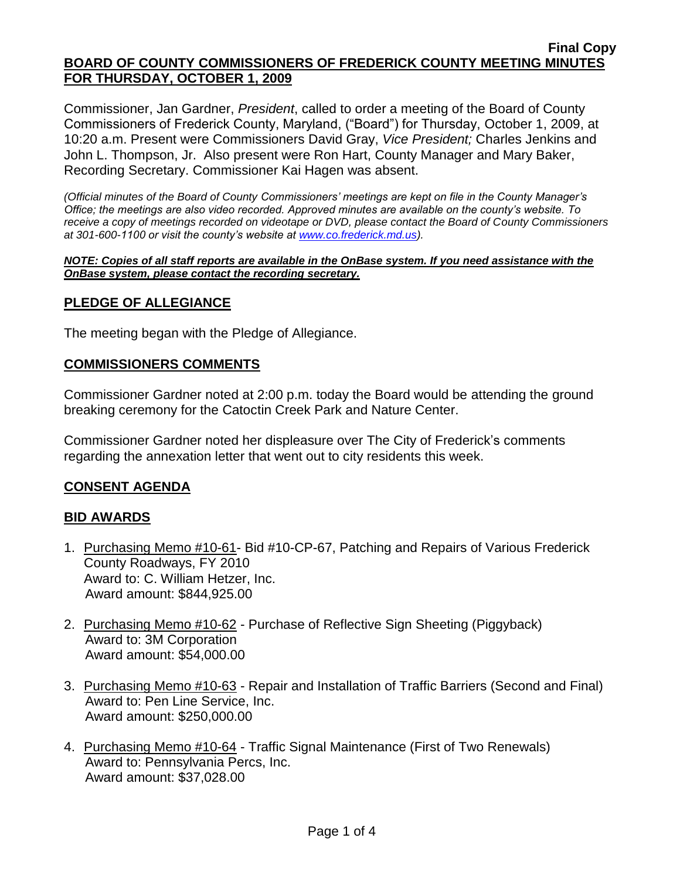#### **Final Copy BOARD OF COUNTY COMMISSIONERS OF FREDERICK COUNTY MEETING MINUTES FOR THURSDAY, OCTOBER 1, 2009**

Commissioner, Jan Gardner, *President*, called to order a meeting of the Board of County Commissioners of Frederick County, Maryland, ("Board") for Thursday, October 1, 2009, at 10:20 a.m. Present were Commissioners David Gray, *Vice President;* Charles Jenkins and John L. Thompson, Jr. Also present were Ron Hart, County Manager and Mary Baker, Recording Secretary. Commissioner Kai Hagen was absent.

*(Official minutes of the Board of County Commissioners' meetings are kept on file in the County Manager's Office; the meetings are also video recorded. Approved minutes are available on the county's website. To receive a copy of meetings recorded on videotape or DVD, please contact the Board of County Commissioners at 301-600-1100 or visit the county's website at [www.co.frederick.md.us\)](http://www.co.frederick.md.us/).*

#### *NOTE: Copies of all staff reports are available in the OnBase system. If you need assistance with the OnBase system, please contact the recording secretary.*

# **PLEDGE OF ALLEGIANCE**

The meeting began with the Pledge of Allegiance.

#### **COMMISSIONERS COMMENTS**

Commissioner Gardner noted at 2:00 p.m. today the Board would be attending the ground breaking ceremony for the Catoctin Creek Park and Nature Center.

Commissioner Gardner noted her displeasure over The City of Frederick's comments regarding the annexation letter that went out to city residents this week.

### **CONSENT AGENDA**

### **BID AWARDS**

- 1. Purchasing Memo #10-61- Bid #10-CP-67, Patching and Repairs of Various Frederick County Roadways, FY 2010 Award to: C. William Hetzer, Inc. Award amount: \$844,925.00
- 2. Purchasing Memo #10-62 Purchase of Reflective Sign Sheeting (Piggyback) Award to: 3M Corporation Award amount: \$54,000.00
- 3. Purchasing Memo #10-63 Repair and Installation of Traffic Barriers (Second and Final) Award to: Pen Line Service, Inc. Award amount: \$250,000.00
- 4. Purchasing Memo #10-64 Traffic Signal Maintenance (First of Two Renewals) Award to: Pennsylvania Percs, Inc. Award amount: \$37,028.00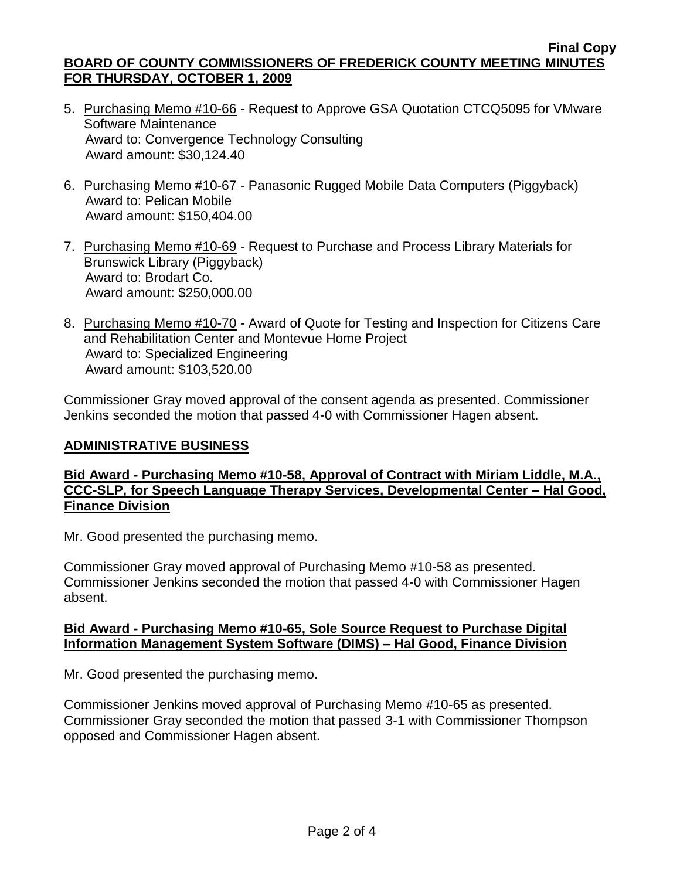#### **Final Copy BOARD OF COUNTY COMMISSIONERS OF FREDERICK COUNTY MEETING MINUTES FOR THURSDAY, OCTOBER 1, 2009**

- 5. Purchasing Memo #10-66 Request to Approve GSA Quotation CTCQ5095 for VMware Software Maintenance Award to: Convergence Technology Consulting Award amount: \$30,124.40
- 6. Purchasing Memo #10-67 Panasonic Rugged Mobile Data Computers (Piggyback) Award to: Pelican Mobile Award amount: \$150,404.00
- 7. Purchasing Memo #10-69 Request to Purchase and Process Library Materials for Brunswick Library (Piggyback) Award to: Brodart Co. Award amount: \$250,000.00
- 8. Purchasing Memo #10-70 Award of Quote for Testing and Inspection for Citizens Care and Rehabilitation Center and Montevue Home Project Award to: Specialized Engineering Award amount: \$103,520.00

Commissioner Gray moved approval of the consent agenda as presented. Commissioner Jenkins seconded the motion that passed 4-0 with Commissioner Hagen absent.

## **ADMINISTRATIVE BUSINESS**

# **Bid Award - Purchasing Memo #10-58, Approval of Contract with Miriam Liddle, M.A., CCC-SLP, for Speech Language Therapy Services, Developmental Center – Hal Good, Finance Division**

Mr. Good presented the purchasing memo.

Commissioner Gray moved approval of Purchasing Memo #10-58 as presented. Commissioner Jenkins seconded the motion that passed 4-0 with Commissioner Hagen absent.

### **Bid Award - Purchasing Memo #10-65, Sole Source Request to Purchase Digital Information Management System Software (DIMS) – Hal Good, Finance Division**

Mr. Good presented the purchasing memo.

Commissioner Jenkins moved approval of Purchasing Memo #10-65 as presented. Commissioner Gray seconded the motion that passed 3-1 with Commissioner Thompson opposed and Commissioner Hagen absent.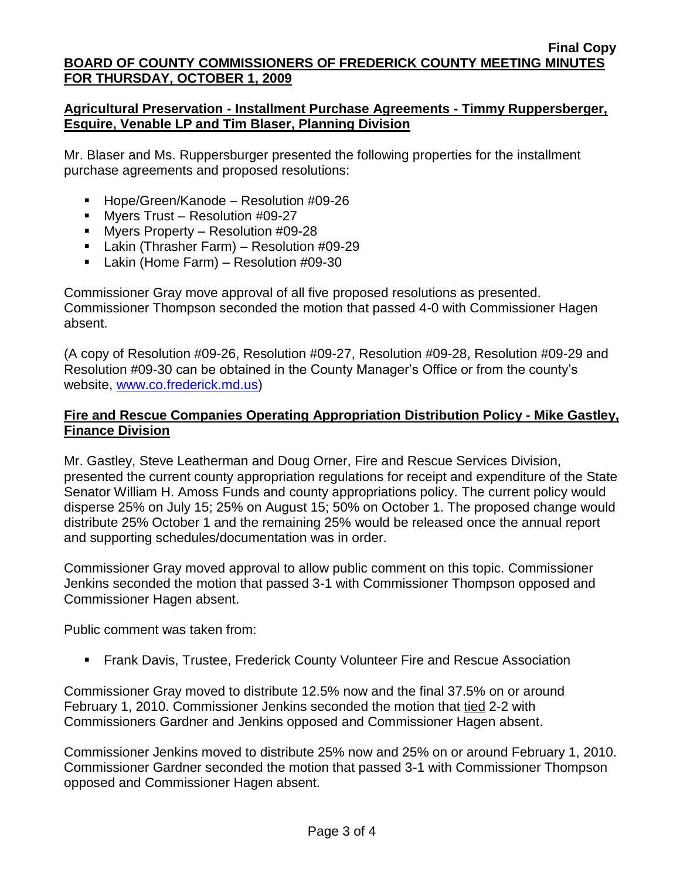# **Agricultural Preservation - Installment Purchase Agreements - Timmy Ruppersberger, Esquire, Venable LP and Tim Blaser, Planning Division**

Mr. Blaser and Ms. Ruppersburger presented the following properties for the installment purchase agreements and proposed resolutions:

- Hope/Green/Kanode Resolution #09-26
- **Myers Trust Resolution #09-27**
- Myers Property Resolution #09-28
- Lakin (Thrasher Farm) Resolution #09-29
- Lakin (Home Farm) Resolution #09-30

Commissioner Gray move approval of all five proposed resolutions as presented. Commissioner Thompson seconded the motion that passed 4-0 with Commissioner Hagen absent.

(A copy of Resolution #09-26, Resolution #09-27, Resolution #09-28, Resolution #09-29 and Resolution #09-30 can be obtained in the County Manager's Office or from the county's website, [www.co.frederick.md.us\)](www.co.frederick.md.us)

# **Fire and Rescue Companies Operating Appropriation Distribution Policy - Mike Gastley, Finance Division**

Mr. Gastley, Steve Leatherman and Doug Orner, Fire and Rescue Services Division, presented the current county appropriation regulations for receipt and expenditure of the State Senator William H. Amoss Funds and county appropriations policy. The current policy would disperse 25% on July 15; 25% on August 15; 50% on October 1. The proposed change would distribute 25% October 1 and the remaining 25% would be released once the annual report and supporting schedules/documentation was in order.

Commissioner Gray moved approval to allow public comment on this topic. Commissioner Jenkins seconded the motion that passed 3-1 with Commissioner Thompson opposed and Commissioner Hagen absent.

Public comment was taken from:

**Fiank Davis, Trustee, Frederick County Volunteer Fire and Rescue Association** 

Commissioner Gray moved to distribute 12.5% now and the final 37.5% on or around February 1, 2010. Commissioner Jenkins seconded the motion that tied 2-2 with Commissioners Gardner and Jenkins opposed and Commissioner Hagen absent.

Commissioner Jenkins moved to distribute 25% now and 25% on or around February 1, 2010. Commissioner Gardner seconded the motion that passed 3-1 with Commissioner Thompson opposed and Commissioner Hagen absent.